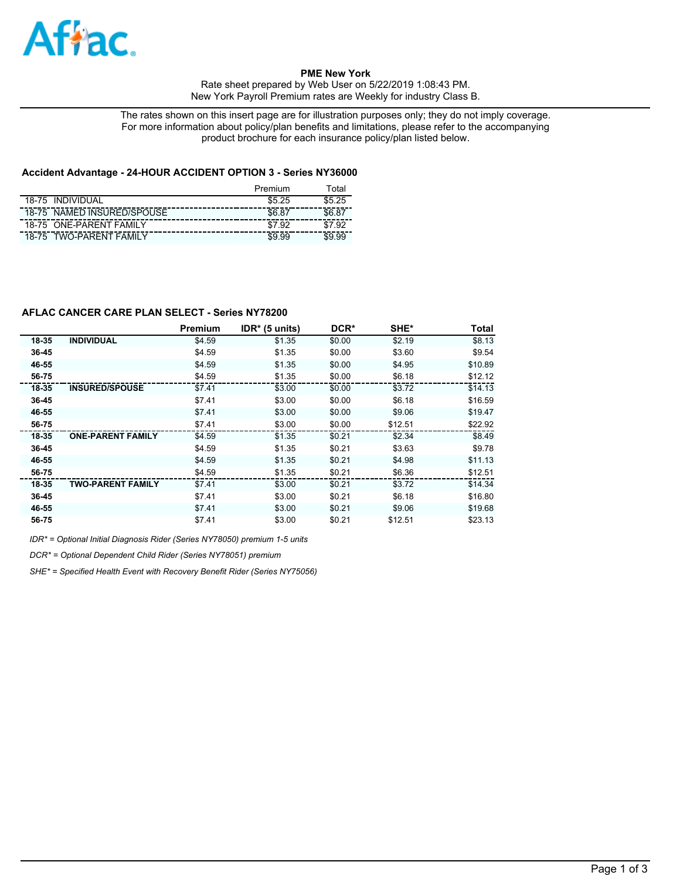

**PME New York** 

Rate sheet prepared by Web User on 5/22/2019 1:08:43 PM. New York Payroll Premium rates are Weekly for industry Class B.

The rates shown on this insert page are for illustration purposes only; they do not imply coverage. For more information about policy/plan benefits and limitations, please refer to the accompanying product brochure for each insurance policy/plan listed below.

## **Accident Advantage - 24-HOUR ACCIDENT OPTION 3 - Series NY36000**

|       |                            | Premium | Total  |
|-------|----------------------------|---------|--------|
| 18-75 | <b>INDIVIDUAL</b>          | \$525   | \$5.25 |
|       | 18-75 NAMED INSURED/SPOUSE |         |        |
|       | 18-75 ONE-PARENT FAMILY    | \$7.92  |        |
| 18-75 | 'WO-PARFNT FAMII Y         |         |        |

# **AFLAC CANCER CARE PLAN SELECT - Series NY78200**

|       |                          | <b>Premium</b> | $IDR* (5 units)$ | DCR*   | SHE*    | <b>Total</b> |
|-------|--------------------------|----------------|------------------|--------|---------|--------------|
| 18-35 | <b>INDIVIDUAL</b>        | \$4.59         | \$1.35           | \$0.00 | \$2.19  | \$8.13       |
| 36-45 |                          | \$4.59         | \$1.35           | \$0.00 | \$3.60  | \$9.54       |
| 46-55 |                          | \$4.59         | \$1.35           | \$0.00 | \$4.95  | \$10.89      |
| 56-75 |                          | \$4.59         | \$1.35           | \$0.00 | \$6.18  | \$12.12      |
| 18-35 | <b>INSURED/SPOUSE</b>    | \$7.41         | \$3.00           | \$0.00 | \$3.72  | \$14.13      |
| 36-45 |                          | \$7.41         | \$3.00           | \$0.00 | \$6.18  | \$16.59      |
| 46-55 |                          | \$7.41         | \$3.00           | \$0.00 | \$9.06  | \$19.47      |
| 56-75 |                          | \$7.41         | \$3.00           | \$0.00 | \$12.51 | \$22.92      |
| 18-35 | <b>ONE-PARENT FAMILY</b> | \$4.59         | \$1.35           | \$0.21 | \$2.34  | \$8.49       |
| 36-45 |                          | \$4.59         | \$1.35           | \$0.21 | \$3.63  | \$9.78       |
| 46-55 |                          | \$4.59         | \$1.35           | \$0.21 | \$4.98  | \$11.13      |
| 56-75 |                          | \$4.59         | \$1.35           | \$0.21 | \$6.36  | \$12.51      |
| 18-35 | <b>TWO-PARENT FAMILY</b> | \$7.41         | \$3.00           | \$0.21 | \$3.72  | \$14.34      |
| 36-45 |                          | \$7.41         | \$3.00           | \$0.21 | \$6.18  | \$16.80      |
| 46-55 |                          | \$7.41         | \$3.00           | \$0.21 | \$9.06  | \$19.68      |
| 56-75 |                          | \$7.41         | \$3.00           | \$0.21 | \$12.51 | \$23.13      |

*IDR\* = Optional Initial Diagnosis Rider (Series NY78050) premium 1-5 units*

*DCR\* = Optional Dependent Child Rider (Series NY78051) premium*

*SHE\* = Specified Health Event with Recovery Benefit Rider (Series NY75056)*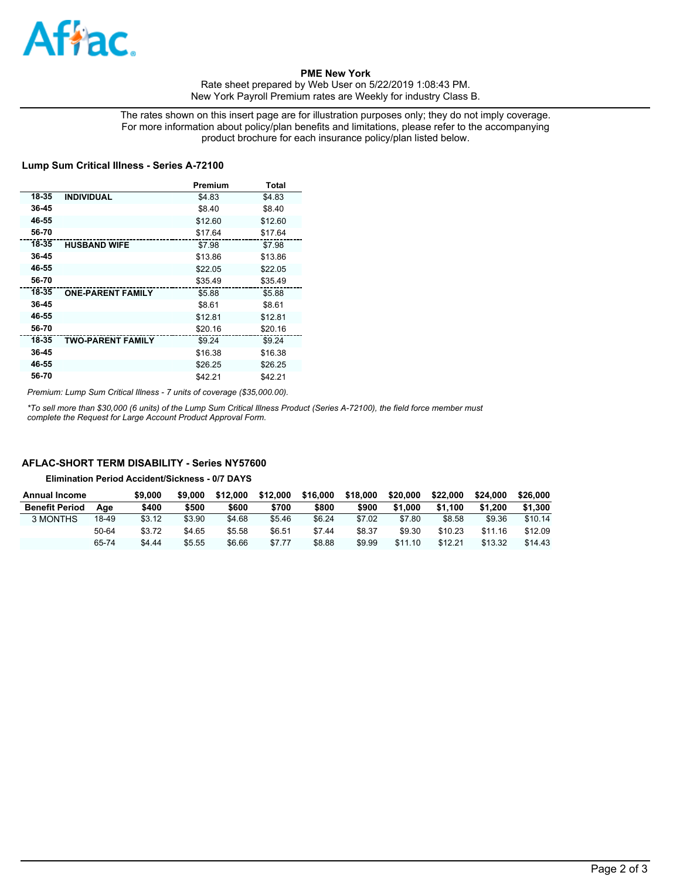

### **PME New York**

Rate sheet prepared by Web User on 5/22/2019 1:08:43 PM. New York Payroll Premium rates are Weekly for industry Class B.

The rates shown on this insert page are for illustration purposes only; they do not imply coverage. For more information about policy/plan benefits and limitations, please refer to the accompanying product brochure for each insurance policy/plan listed below.

#### **Lump Sum Critical Illness - Series A-72100**

|       |                          | Premium | Total   |
|-------|--------------------------|---------|---------|
| 18-35 | <b>INDIVIDUAL</b>        | \$4.83  | \$4.83  |
| 36-45 |                          | \$8.40  | \$8.40  |
| 46-55 |                          | \$12.60 | \$12.60 |
| 56-70 |                          | \$17.64 | \$17.64 |
| 18-35 | <b>HUSBAND WIFE</b>      | \$7.98  | \$7.98  |
| 36-45 |                          | \$13.86 | \$13.86 |
| 46-55 |                          | \$22.05 | \$22.05 |
| 56-70 |                          | \$35.49 | \$35.49 |
| 18-35 | <b>ONE-PARENT FAMILY</b> | \$5.88  | \$5.88  |
| 36-45 |                          | \$8.61  | \$8.61  |
| 46-55 |                          | \$12.81 | \$12.81 |
| 56-70 |                          | \$20.16 | \$20.16 |
| 18-35 | <b>TWO-PARENT FAMILY</b> | \$9.24  | \$9.24  |
| 36-45 |                          | \$16.38 | \$16.38 |
| 46-55 |                          | \$26.25 | \$26.25 |
| 56-70 |                          | \$42.21 | \$42.21 |

*Premium: Lump Sum Critical Illness - 7 units of coverage (\$35,000.00).*

*\*To sell more than \$30,000 (6 units) of the Lump Sum Critical Illness Product (Series A-72100), the field force member must complete the Request for Large Account Product Approval Form.*

### **AFLAC-SHORT TERM DISABILITY - Series NY57600**

**Elimination Period Accident/Sickness - 0/7 DAYS**

| <b>Annual Income</b>  |       | \$9,000 | \$9,000 | \$12,000 | \$12,000 | \$16,000 | \$18,000 | \$20,000 | \$22,000 | \$24,000 | \$26,000 |
|-----------------------|-------|---------|---------|----------|----------|----------|----------|----------|----------|----------|----------|
| <b>Benefit Period</b> | Aae   | \$400   | \$500   | \$600    | \$700    | \$800    | \$900    | \$1.000  | \$1.100  | \$1.200  | \$1.300  |
| 3 MONTHS              | 18-49 | \$3.12  | \$3.90  | \$4.68   | \$5.46   | \$6.24   | \$7.02   | \$7.80   | \$8.58   | \$9.36   | \$10.14  |
|                       | 50-64 | \$3.72  | \$4.65  | \$5.58   | \$6.51   | \$7.44   | \$8.37   | \$9.30   | \$10.23  | \$11.16  | \$12.09  |
|                       | 65-74 | \$4.44  | \$5.55  | \$6.66   | \$7.77   | \$8.88   | \$9.99   | \$11.10  | \$12.21  | \$13.32  | \$14.43  |